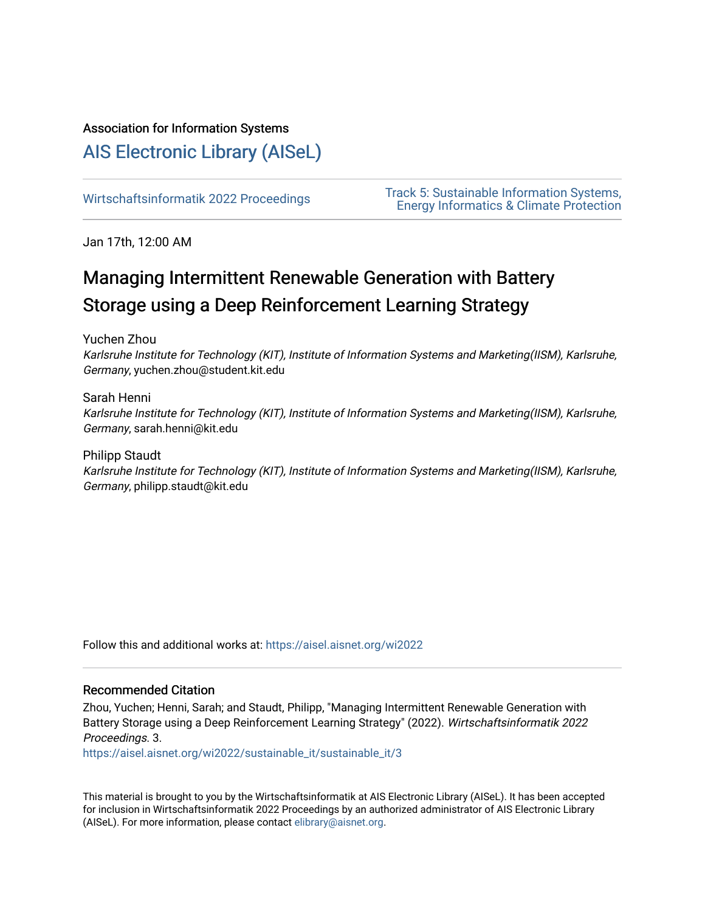# Association for Information Systems

# [AIS Electronic Library \(AISeL\)](https://aisel.aisnet.org/)

Wirtschaftsinformatik 2022 Proceedings<br>
Track 5: Sustainable Information Systems,<br>
Thermultischaftsing Protection [Energy Informatics & Climate Protection](https://aisel.aisnet.org/wi2022/sustainable_it) 

Jan 17th, 12:00 AM

# Managing Intermittent Renewable Generation with Battery Storage using a Deep Reinforcement Learning Strategy

Yuchen Zhou

Karlsruhe Institute for Technology (KIT), Institute of Information Systems and Marketing(IISM), Karlsruhe, Germany, yuchen.zhou@student.kit.edu

Sarah Henni Karlsruhe Institute for Technology (KIT), Institute of Information Systems and Marketing(IISM), Karlsruhe, Germany, sarah.henni@kit.edu

Philipp Staudt Karlsruhe Institute for Technology (KIT), Institute of Information Systems and Marketing(IISM), Karlsruhe, Germany, philipp.staudt@kit.edu

Follow this and additional works at: [https://aisel.aisnet.org/wi2022](https://aisel.aisnet.org/wi2022?utm_source=aisel.aisnet.org%2Fwi2022%2Fsustainable_it%2Fsustainable_it%2F3&utm_medium=PDF&utm_campaign=PDFCoverPages) 

# Recommended Citation

Zhou, Yuchen; Henni, Sarah; and Staudt, Philipp, "Managing Intermittent Renewable Generation with Battery Storage using a Deep Reinforcement Learning Strategy" (2022). Wirtschaftsinformatik 2022 Proceedings. 3.

[https://aisel.aisnet.org/wi2022/sustainable\\_it/sustainable\\_it/3](https://aisel.aisnet.org/wi2022/sustainable_it/sustainable_it/3?utm_source=aisel.aisnet.org%2Fwi2022%2Fsustainable_it%2Fsustainable_it%2F3&utm_medium=PDF&utm_campaign=PDFCoverPages) 

This material is brought to you by the Wirtschaftsinformatik at AIS Electronic Library (AISeL). It has been accepted for inclusion in Wirtschaftsinformatik 2022 Proceedings by an authorized administrator of AIS Electronic Library (AISeL). For more information, please contact [elibrary@aisnet.org](mailto:elibrary@aisnet.org%3E).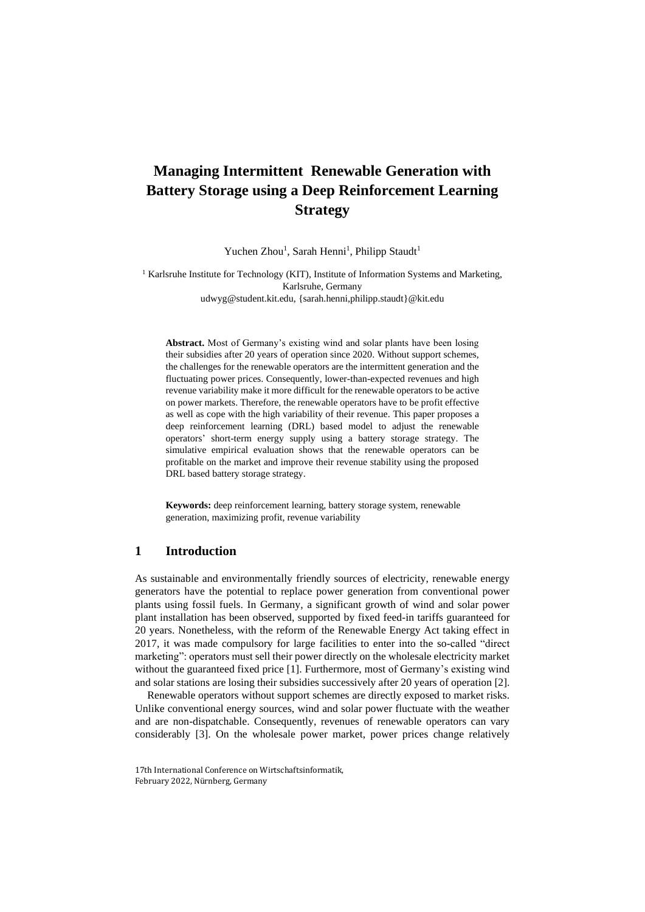# **Managing Intermittent Renewable Generation with Battery Storage using a Deep Reinforcement Learning Strategy**

Yuchen Zhou<sup>1</sup>, Sarah Henni<sup>1</sup>, Philipp Staudt<sup>1</sup>

<sup>1</sup> Karlsruhe Institute for Technology (KIT), Institute of Information Systems and Marketing, Karlsruhe, Germany udwyg@student.kit.edu, {sarah.henni,philipp.staudt}@kit.edu

**Abstract.** Most of Germany's existing wind and solar plants have been losing their subsidies after 20 years of operation since 2020. Without support schemes, the challenges for the renewable operators are the intermittent generation and the fluctuating power prices. Consequently, lower-than-expected revenues and high revenue variability make it more difficult for the renewable operators to be active on power markets. Therefore, the renewable operators have to be profit effective as well as cope with the high variability of their revenue. This paper proposes a deep reinforcement learning (DRL) based model to adjust the renewable operators' short-term energy supply using a battery storage strategy. The simulative empirical evaluation shows that the renewable operators can be profitable on the market and improve their revenue stability using the proposed DRL based battery storage strategy.

**Keywords:** deep reinforcement learning, battery storage system, renewable generation, maximizing profit, revenue variability

# **1 Introduction**

As sustainable and environmentally friendly sources of electricity, renewable energy generators have the potential to replace power generation from conventional power plants using fossil fuels. In Germany, a significant growth of wind and solar power plant installation has been observed, supported by fixed feed-in tariffs guaranteed for 20 years. Nonetheless, with the reform of the Renewable Energy Act taking effect in 2017, it was made compulsory for large facilities to enter into the so-called "direct marketing": operators must sell their power directly on the wholesale electricity market without the guaranteed fixed price [1]. Furthermore, most of Germany's existing wind and solar stations are losing their subsidies successively after 20 years of operation [2].

Renewable operators without support schemes are directly exposed to market risks. Unlike conventional energy sources, wind and solar power fluctuate with the weather and are non-dispatchable. Consequently, revenues of renewable operators can vary considerably [3]. On the wholesale power market, power prices change relatively

<sup>17</sup>th International Conference on Wirtschaftsinformatik, February 2022, Nürnberg, Germany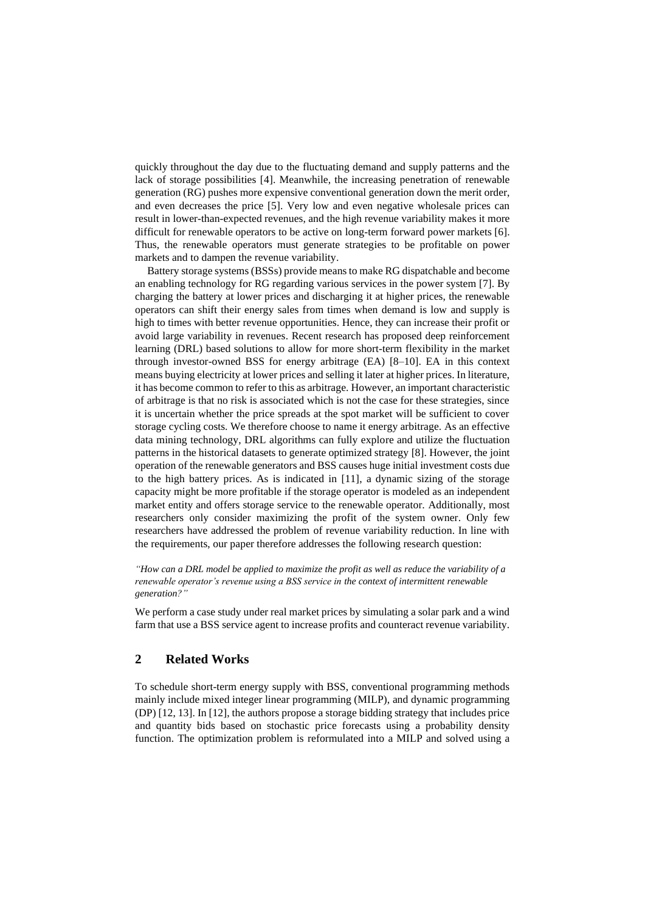quickly throughout the day due to the fluctuating demand and supply patterns and the lack of storage possibilities [4]. Meanwhile, the increasing penetration of renewable generation (RG) pushes more expensive conventional generation down the merit order, and even decreases the price [5]. Very low and even negative wholesale prices can result in lower-than-expected revenues, and the high revenue variability makes it more difficult for renewable operators to be active on long-term forward power markets [6]. Thus, the renewable operators must generate strategies to be profitable on power markets and to dampen the revenue variability.

Battery storage systems(BSSs) provide means to make RG dispatchable and become an enabling technology for RG regarding various services in the power system [7]. By charging the battery at lower prices and discharging it at higher prices, the renewable operators can shift their energy sales from times when demand is low and supply is high to times with better revenue opportunities. Hence, they can increase their profit or avoid large variability in revenues. Recent research has proposed deep reinforcement learning (DRL) based solutions to allow for more short-term flexibility in the market through investor-owned BSS for energy arbitrage (EA) [8–10]. EA in this context means buying electricity at lower prices and selling it later at higher prices. In literature, it has become common to refer to this as arbitrage. However, an important characteristic of arbitrage is that no risk is associated which is not the case for these strategies, since it is uncertain whether the price spreads at the spot market will be sufficient to cover storage cycling costs. We therefore choose to name it energy arbitrage. As an effective data mining technology, DRL algorithms can fully explore and utilize the fluctuation patterns in the historical datasets to generate optimized strategy [8]. However, the joint operation of the renewable generators and BSS causes huge initial investment costs due to the high battery prices. As is indicated in [11], a dynamic sizing of the storage capacity might be more profitable if the storage operator is modeled as an independent market entity and offers storage service to the renewable operator. Additionally, most researchers only consider maximizing the profit of the system owner. Only few researchers have addressed the problem of revenue variability reduction. In line with the requirements, our paper therefore addresses the following research question:

*"How can a DRL model be applied to maximize the profit as well as reduce the variability of a renewable operator's revenue using a BSS service in the context of intermittent renewable generation?"*

We perform a case study under real market prices by simulating a solar park and a wind farm that use a BSS service agent to increase profits and counteract revenue variability.

# **2 Related Works**

To schedule short-term energy supply with BSS, conventional programming methods mainly include mixed integer linear programming (MILP), and dynamic programming (DP) [12, 13]. In [12], the authors propose a storage bidding strategy that includes price and quantity bids based on stochastic price forecasts using a probability density function. The optimization problem is reformulated into a MILP and solved using a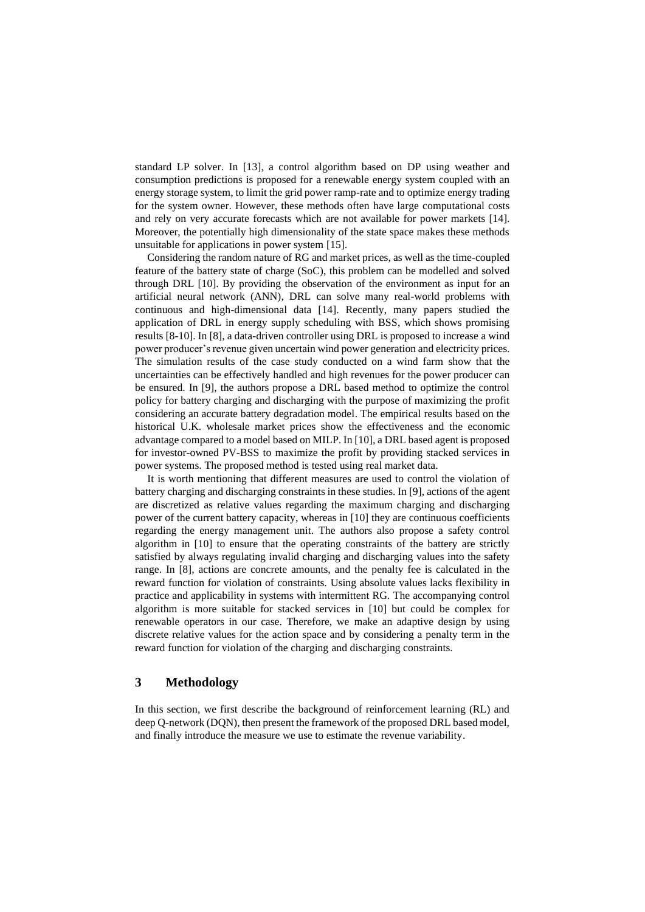standard LP solver. In [13], a control algorithm based on DP using weather and consumption predictions is proposed for a renewable energy system coupled with an energy storage system, to limit the grid power ramp-rate and to optimize energy trading for the system owner. However, these methods often have large computational costs and rely on very accurate forecasts which are not available for power markets [14]. Moreover, the potentially high dimensionality of the state space makes these methods unsuitable for applications in power system [15].

Considering the random nature of RG and market prices, as well as the time-coupled feature of the battery state of charge (SoC), this problem can be modelled and solved through DRL [10]. By providing the observation of the environment as input for an artificial neural network (ANN), DRL can solve many real-world problems with continuous and high-dimensional data [14]. Recently, many papers studied the application of DRL in energy supply scheduling with BSS, which shows promising results [8-10]. In [8], a data-driven controller using DRL is proposed to increase a wind power producer's revenue given uncertain wind power generation and electricity prices. The simulation results of the case study conducted on a wind farm show that the uncertainties can be effectively handled and high revenues for the power producer can be ensured. In [9], the authors propose a DRL based method to optimize the control policy for battery charging and discharging with the purpose of maximizing the profit considering an accurate battery degradation model. The empirical results based on the historical U.K. wholesale market prices show the effectiveness and the economic advantage compared to a model based on MILP. In [10], a DRL based agent is proposed for investor-owned PV-BSS to maximize the profit by providing stacked services in power systems. The proposed method is tested using real market data.

It is worth mentioning that different measures are used to control the violation of battery charging and discharging constraints in these studies. In [9], actions of the agent are discretized as relative values regarding the maximum charging and discharging power of the current battery capacity, whereas in [10] they are continuous coefficients regarding the energy management unit. The authors also propose a safety control algorithm in [10] to ensure that the operating constraints of the battery are strictly satisfied by always regulating invalid charging and discharging values into the safety range. In [8], actions are concrete amounts, and the penalty fee is calculated in the reward function for violation of constraints. Using absolute values lacks flexibility in practice and applicability in systems with intermittent RG. The accompanying control algorithm is more suitable for stacked services in [10] but could be complex for renewable operators in our case. Therefore, we make an adaptive design by using discrete relative values for the action space and by considering a penalty term in the reward function for violation of the charging and discharging constraints.

# **3 Methodology**

In this section, we first describe the background of reinforcement learning (RL) and deep Q-network (DQN), then present the framework of the proposed DRL based model, and finally introduce the measure we use to estimate the revenue variability.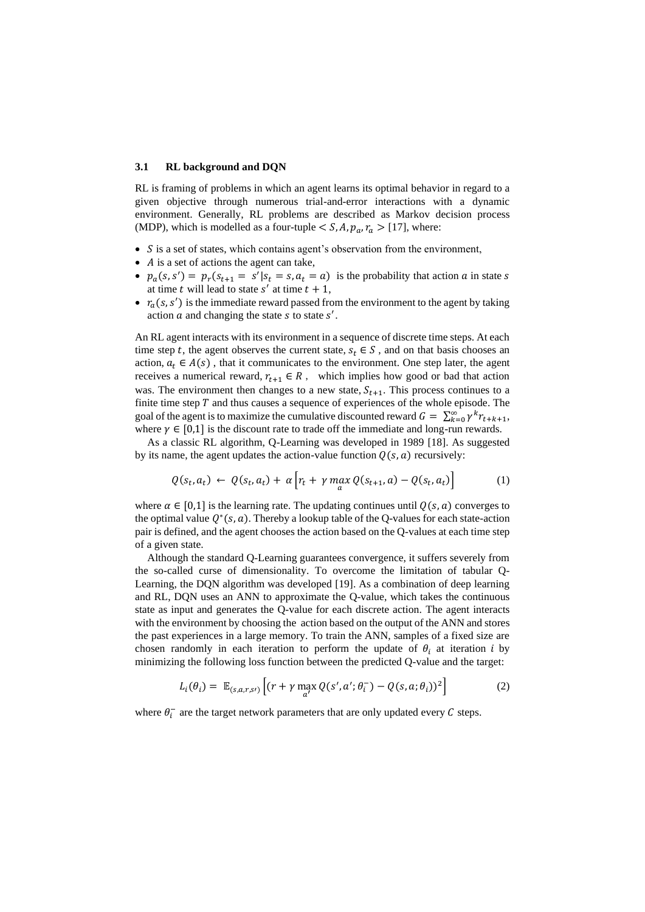#### **3.1 RL background and DQN**

RL is framing of problems in which an agent learns its optimal behavior in regard to a given objective through numerous trial-and-error interactions with a dynamic environment. Generally, RL problems are described as Markov decision process (MDP), which is modelled as a four-tuple  $\lt S$ , A,  $p_a$ ,  $r_a > [17]$ , where:

- $S$  is a set of states, which contains agent's observation from the environment,
- $\bullet$  A is a set of actions the agent can take,
- $p_a(s, s') = p_r(s_{t+1} = s'|s_t = s, a_t = a)$  is the probability that action a in state s at time t will lead to state  $s'$  at time  $t + 1$ ,
- $r_a(s, s')$  is the immediate reward passed from the environment to the agent by taking action  $a$  and changing the state  $s$  to state  $s'$ .

An RL agent interacts with its environment in a sequence of discrete time steps. At each time step t, the agent observes the current state,  $s_t \in S$ , and on that basis chooses an action,  $a_t \in A(s)$ , that it communicates to the environment. One step later, the agent receives a numerical reward,  $r_{t+1} \in R$ , which implies how good or bad that action was. The environment then changes to a new state,  $S_{t+1}$ . This process continues to a finite time step  $T$  and thus causes a sequence of experiences of the whole episode. The goal of the agent is to maximize the cumulative discounted reward  $G = \sum_{k=0}^{\infty} \gamma^k r_{t+k+1}$ , where  $\gamma \in [0,1]$  is the discount rate to trade off the immediate and long-run rewards.

As a classic RL algorithm, Q-Learning was developed in 1989 [18]. As suggested by its name, the agent updates the action-value function  $Q(s, a)$  recursively:

$$
Q(s_t, a_t) \leftarrow Q(s_t, a_t) + \alpha \left[ r_t + \gamma \max_a Q(s_{t+1}, a) - Q(s_t, a_t) \right] \tag{1}
$$

where  $\alpha \in [0,1]$  is the learning rate. The updating continues until  $Q(s, a)$  converges to the optimal value  $Q^*(s, a)$ . Thereby a lookup table of the Q-values for each state-action pair is defined, and the agent chooses the action based on the Q-values at each time step of a given state.

Although the standard Q-Learning guarantees convergence, it suffers severely from the so-called curse of dimensionality. To overcome the limitation of tabular Q-Learning, the DQN algorithm was developed [19]. As a combination of deep learning and RL, DQN uses an ANN to approximate the Q-value, which takes the continuous state as input and generates the Q-value for each discrete action. The agent interacts with the environment by choosing the action based on the output of the ANN and stores the past experiences in a large memory. To train the ANN, samples of a fixed size are chosen randomly in each iteration to perform the update of  $\theta_i$  at iteration *i* by minimizing the following loss function between the predicted Q-value and the target:

$$
L_i(\theta_i) = \mathbb{E}_{(s,a,r,s)} \left[ (r + \gamma \max_{a'} Q(s', a'; \theta_i^-) - Q(s, a; \theta_i))^2 \right]
$$
 (2)

where  $\theta_i^-$  are the target network parameters that are only updated every C steps.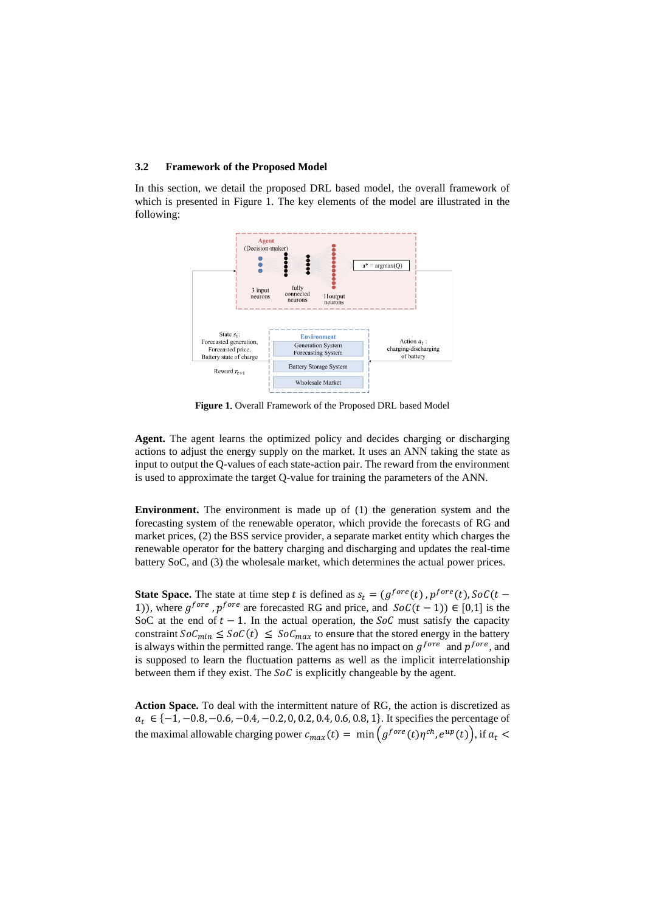#### **3.2 Framework of the Proposed Model**

In this section, we detail the proposed DRL based model, the overall framework of which is presented in Figure 1. The key elements of the model are illustrated in the following:



Figure 1. Overall Framework of the Proposed DRL based Model

**Agent.** The agent learns the optimized policy and decides charging or discharging actions to adjust the energy supply on the market. It uses an ANN taking the state as input to output the Q-values of each state-action pair. The reward from the environment is used to approximate the target Q-value for training the parameters of the ANN.

**Environment.** The environment is made up of (1) the generation system and the forecasting system of the renewable operator, which provide the forecasts of RG and market prices, (2) the BSS service provider, a separate market entity which charges the renewable operator for the battery charging and discharging and updates the real-time battery SoC, and (3) the wholesale market, which determines the actual power prices.

**State Space.** The state at time step t is defined as  $s_t = (g^{fore}(t), p^{fore}(t), SoC(t -$ 1)), where  $g^{fore}$ ,  $p^{fore}$  are forecasted RG and price, and  $Soc(t-1) \in [0,1]$  is the SoC at the end of  $t - 1$ . In the actual operation, the SoC must satisfy the capacity constraint  $\text{SoC}_{\text{min}} \leq \text{SoC}(t) \leq \text{SoC}_{\text{max}}$  to ensure that the stored energy in the battery is always within the permitted range. The agent has no impact on  $g^{fore}$  and  $p^{fore}$ , and is supposed to learn the fluctuation patterns as well as the implicit interrelationship between them if they exist. The  $SoC$  is explicitly changeable by the agent.

**Action Space.** To deal with the intermittent nature of RG, the action is discretized as  $a_t \in \{-1, -0.8, -0.6, -0.4, -0.2, 0, 0.2, 0.4, 0.6, 0.8, 1\}$ . It specifies the percentage of the maximal allowable charging power  $c_{max}(t) = \min\left(g^{fore}(t)\eta^{ch}, e^{up}(t)\right)$ , if  $a_t$  <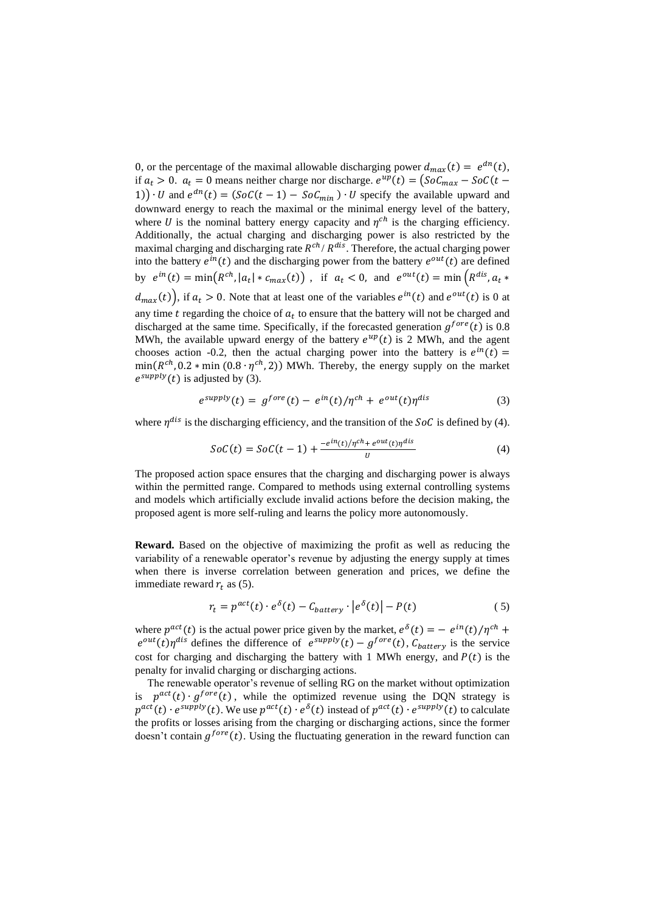0, or the percentage of the maximal allowable discharging power  $d_{max}(t) = e^{dn}(t)$ , if  $a_t > 0$ .  $a_t = 0$  means neither charge nor discharge.  $e^{up}(t) = (SoC_{max} - SoC(t -$ 1))  $\cdot U$  and  $e^{dn}(t) = (SoC(t-1) - SoC_{min}) \cdot U$  specify the available upward and downward energy to reach the maximal or the minimal energy level of the battery, where U is the nominal battery energy capacity and  $\eta^{ch}$  is the charging efficiency. Additionally, the actual charging and discharging power is also restricted by the maximal charging and discharging rate  $R^{ch}/R^{dis}$ . Therefore, the actual charging power into the battery  $e^{in}(t)$  and the discharging power from the battery  $e^{out}(t)$  are defined by  $e^{in}(t) = \min(R^{ch}, |a_t| * c_{max}(t))$ , if  $a_t < 0$ , and  $e^{out}(t) = \min(R^{dis}, a_t * R_t)$  $d_{max}(t)$ , if  $a_t > 0$ . Note that at least one of the variables  $e^{in}(t)$  and  $e^{out}(t)$  is 0 at any time  $t$  regarding the choice of  $a_t$  to ensure that the battery will not be charged and discharged at the same time. Specifically, if the forecasted generation  $g^{fore}(t)$  is 0.8 MWh, the available upward energy of the battery  $e^{up}(t)$  is 2 MWh, and the agent chooses action -0.2, then the actual charging power into the battery is  $e^{in}(t)$  =  $min(R^{ch}, 0.2 * min(0.8 \cdot \eta^{ch}, 2))$  MWh. Thereby, the energy supply on the market  $e^{supply}(t)$  is adjusted by (3).

$$
e^{supply}(t) = g^{fore}(t) - e^{in}(t)/\eta^{ch} + e^{out}(t)\eta^{dis}
$$
\n(3)

where  $\eta^{dis}$  is the discharging efficiency, and the transition of the SoC is defined by (4).

$$
SoC(t) = SoC(t-1) + \frac{-e^{in(t)/\eta^{ch} + e^{out}(t)\eta^{dis}}}{U}
$$
\n
$$
(4)
$$

The proposed action space ensures that the charging and discharging power is always within the permitted range. Compared to methods using external controlling systems and models which artificially exclude invalid actions before the decision making, the proposed agent is more self-ruling and learns the policy more autonomously.

**Reward.** Based on the objective of maximizing the profit as well as reducing the variability of a renewable operator's revenue by adjusting the energy supply at times when there is inverse correlation between generation and prices, we define the immediate reward  $r_t$  as (5).

$$
r_t = p^{act}(t) \cdot e^{\delta}(t) - C_{battery} \cdot |e^{\delta}(t)| - P(t)
$$
 (5)

where  $p^{act}(t)$  is the actual power price given by the market,  $e^{\delta}(t) = - e^{in}(t)/\eta^{ch} +$  $e^{out}(t)\eta^{dis}$  defines the difference of  $e^{supply}(t) - g^{fore}(t)$ ,  $C_{battery}$  is the service cost for charging and discharging the battery with 1 MWh energy, and  $P(t)$  is the penalty for invalid charging or discharging actions.

The renewable operator's revenue of selling RG on the market without optimization is  $p^{act}(t) \cdot g^{fore}(t)$ , while the optimized revenue using the DQN strategy is  $p^{act}(t) \cdot e^{supply}(t)$ . We use  $p^{act}(t) \cdot e^{\delta}(t)$  instead of  $p^{act}(t) \cdot e^{supply}(t)$  to calculate the profits or losses arising from the charging or discharging actions, since the former doesn't contain  $g^{fore}(t)$ . Using the fluctuating generation in the reward function can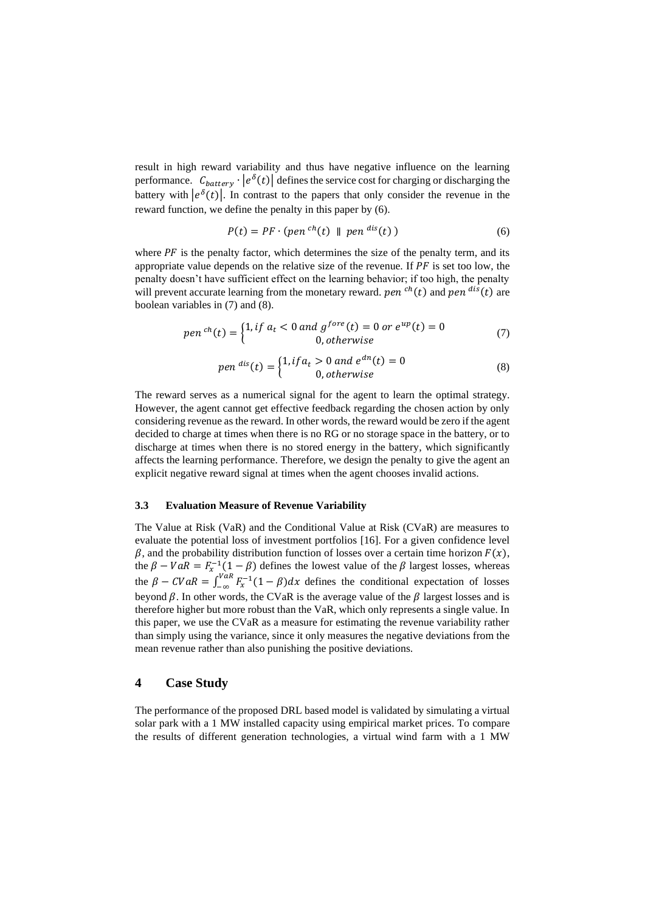result in high reward variability and thus have negative influence on the learning performance.  $C_{battery} \cdot |e^{\delta}(t)|$  defines the service cost for charging or discharging the battery with  $|e^{\delta}(t)|$ . In contrast to the papers that only consider the revenue in the reward function, we define the penalty in this paper by (6).

$$
P(t) = PF \cdot (pen^{ch}(t) \parallel pen^{dis}(t))
$$
\n(6)

where  $PF$  is the penalty factor, which determines the size of the penalty term, and its appropriate value depends on the relative size of the revenue. If  $PF$  is set too low, the penalty doesn't have sufficient effect on the learning behavior; if too high, the penalty will prevent accurate learning from the monetary reward. *pen*  $<sup>ch</sup>(t)$  and *pen*  $<sup>dis</sup>(t)$  are</sup></sup> boolean variables in (7) and (8).

$$
pen^{ch}(t) = \begin{cases} 1, & if \ a_t < 0 \ and \ g^{fore}(t) = 0 \ or \ e^{up}(t) = 0\\ 0, & otherwise \end{cases} \tag{7}
$$

$$
pen\,dis(t) = \begin{cases} 1, if \, a_t > 0 \text{ and } e^{dn}(t) = 0\\ 0, otherwise \end{cases} \tag{8}
$$

The reward serves as a numerical signal for the agent to learn the optimal strategy. However, the agent cannot get effective feedback regarding the chosen action by only considering revenue as the reward. In other words, the reward would be zero if the agent decided to charge at times when there is no RG or no storage space in the battery, or to discharge at times when there is no stored energy in the battery, which significantly affects the learning performance. Therefore, we design the penalty to give the agent an explicit negative reward signal at times when the agent chooses invalid actions.

#### **3.3 Evaluation Measure of Revenue Variability**

The Value at Risk (VaR) and the Conditional Value at Risk (CVaR) are measures to evaluate the potential loss of investment portfolios [16]. For a given confidence level  $\beta$ , and the probability distribution function of losses over a certain time horizon  $F(x)$ , the  $\beta - VaR = F_x^{-1}(1 - \beta)$  defines the lowest value of the  $\beta$  largest losses, whereas the  $\beta - CVaR = \int_{-\infty}^{VaR} F_x^{-1}(1-\beta)dx$  defines the conditional expectation of losses beyond  $\beta$ . In other words, the CVaR is the average value of the  $\beta$  largest losses and is therefore higher but more robust than the VaR, which only represents a single value. In this paper, we use the CVaR as a measure for estimating the revenue variability rather than simply using the variance, since it only measures the negative deviations from the mean revenue rather than also punishing the positive deviations.

# **4 Case Study**

The performance of the proposed DRL based model is validated by simulating a virtual solar park with a 1 MW installed capacity using empirical market prices. To compare the results of different generation technologies, a virtual wind farm with a 1 MW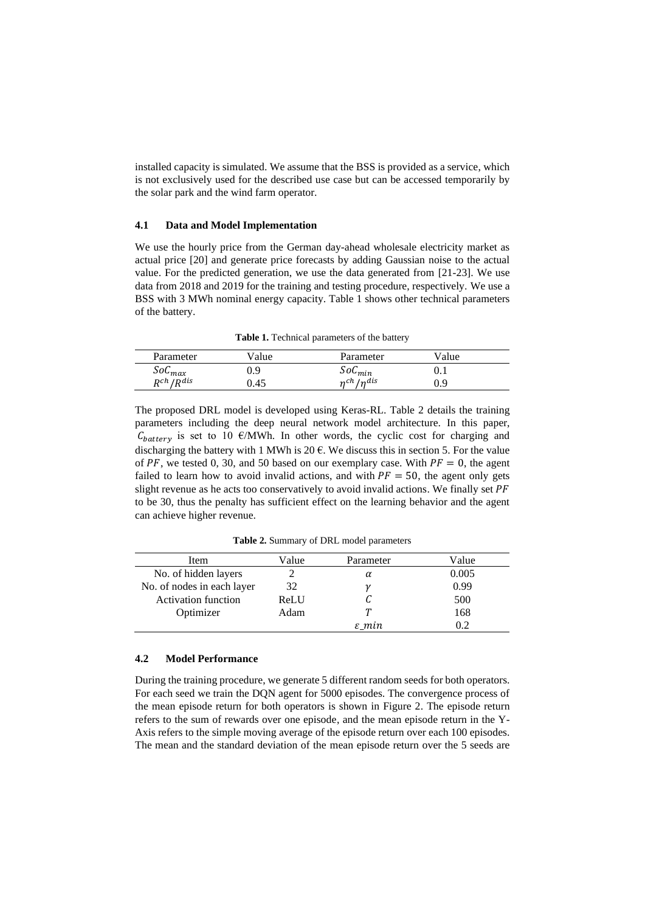installed capacity is simulated. We assume that the BSS is provided as a service, which is not exclusively used for the described use case but can be accessed temporarily by the solar park and the wind farm operator.

#### **4.1 Data and Model Implementation**

We use the hourly price from the German day-ahead wholesale electricity market as actual price [20] and generate price forecasts by adding Gaussian noise to the actual value. For the predicted generation, we use the data generated from [21-23]. We use data from 2018 and 2019 for the training and testing procedure, respectively. We use a BSS with 3 MWh nominal energy capacity. Table 1 shows other technical parameters of the battery.

**Table 1.** Technical parameters of the battery

| Parameter        | /alue | Parameter    | Value |  |
|------------------|-------|--------------|-------|--|
| $SoC_{max}$      | 9.9   | $SoC_{min}$  | 0.1   |  |
| $R^{ch}/R^{dis}$ | ).45  | $n$ ch Indis | 0.9   |  |

The proposed DRL model is developed using Keras-RL. Table 2 details the training parameters including the deep neural network model architecture. In this paper,  $C_{batterv}$  is set to 10 €/MWh. In other words, the cyclic cost for charging and discharging the battery with 1 MWh is 20  $\epsilon$ . We discuss this in section 5. For the value of PF, we tested 0, 30, and 50 based on our exemplary case. With  $PF = 0$ , the agent failed to learn how to avoid invalid actions, and with  $PF = 50$ , the agent only gets slight revenue as he acts too conservatively to avoid invalid actions. We finally set PF to be 30, thus the penalty has sufficient effect on the learning behavior and the agent can achieve higher revenue.

Item Value Parameter Value No. of hidden layers 2  $\alpha$  0.005 No. of nodes in each layer  $32 \gamma$   $\gamma$  0.99 Activation function ReLU  $C = 500$ Optimizer Adam T 168  $\varepsilon$ \_min 0.2

**Table 2.** Summary of DRL model parameters

#### <span id="page-8-0"></span>**4.2 Model Performance**

During the training procedure, we generate 5 different random seeds for both operators. For each seed we train the DQN agent for 5000 episodes. The convergence process of the mean episode return for both operators is shown in Figure 2. The episode return refers to the sum of rewards over one episode, and the mean episode return in the Y-Axis refers to the simple moving average of the episode return over each 100 episodes. The mean and the standard deviation of the mean episode return over the 5 seeds are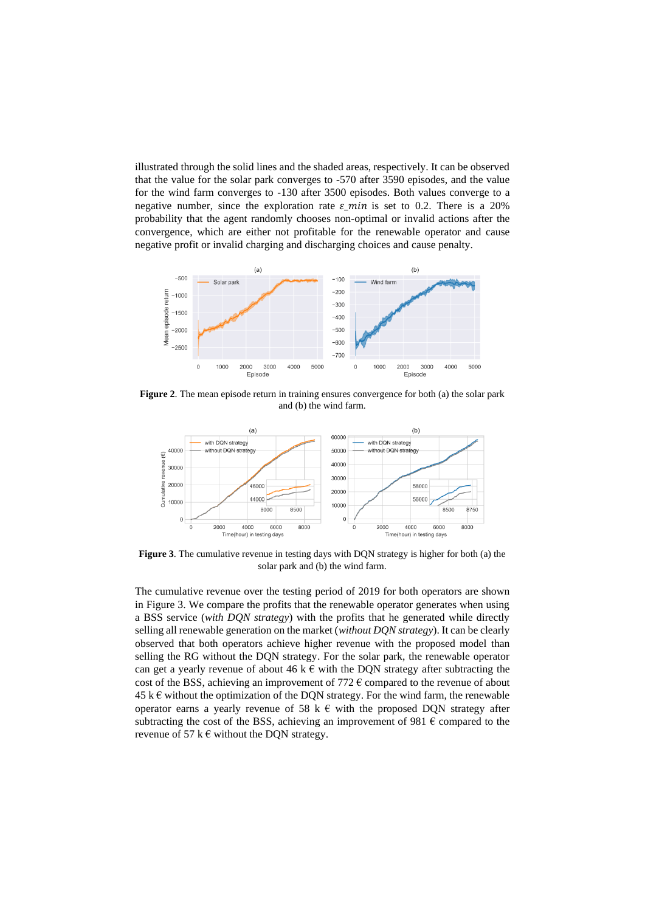illustrated through the solid lines and the shaded areas, respectively. It can be observed that the value for the solar park converges to -570 after 3590 episodes, and the value for the wind farm converges to -130 after 3500 episodes. Both values converge to a negative number, since the exploration rate  $\varepsilon$ \_min is set to 0.2. There is a 20% probability that the agent randomly chooses non-optimal or invalid actions after the convergence, which are either not profitable for the renewable operator and cause negative profit or invalid charging and discharging choices and cause penalty.



**Figure 2**. The mean episode return in training ensures convergence for both (a) the solar park and (b) the wind farm.



<span id="page-9-0"></span>**Figure 3**. The cumulative revenue in testing days with DQN strategy is higher for both (a) the solar park and (b) the wind farm.

The cumulative revenue over the testing period of 2019 for both operators are shown in [Figure 3.](#page-9-0) We compare the profits that the renewable operator generates when using a BSS service (*with DQN strategy*) with the profits that he generated while directly selling all renewable generation on the market (*without DQN strategy*). It can be clearly observed that both operators achieve higher revenue with the proposed model than selling the RG without the DQN strategy. For the solar park, the renewable operator can get a yearly revenue of about 46 k  $\epsilon$  with the DQN strategy after subtracting the cost of the BSS, achieving an improvement of 772  $\epsilon$  compared to the revenue of about  $45 \text{ k} \text{ } \in \text{ }$  without the optimization of the DON strategy. For the wind farm, the renewable operator earns a yearly revenue of 58 k  $\epsilon$  with the proposed DQN strategy after subtracting the cost of the BSS, achieving an improvement of 981  $\epsilon$  compared to the revenue of 57 k  $\epsilon$  without the DQN strategy.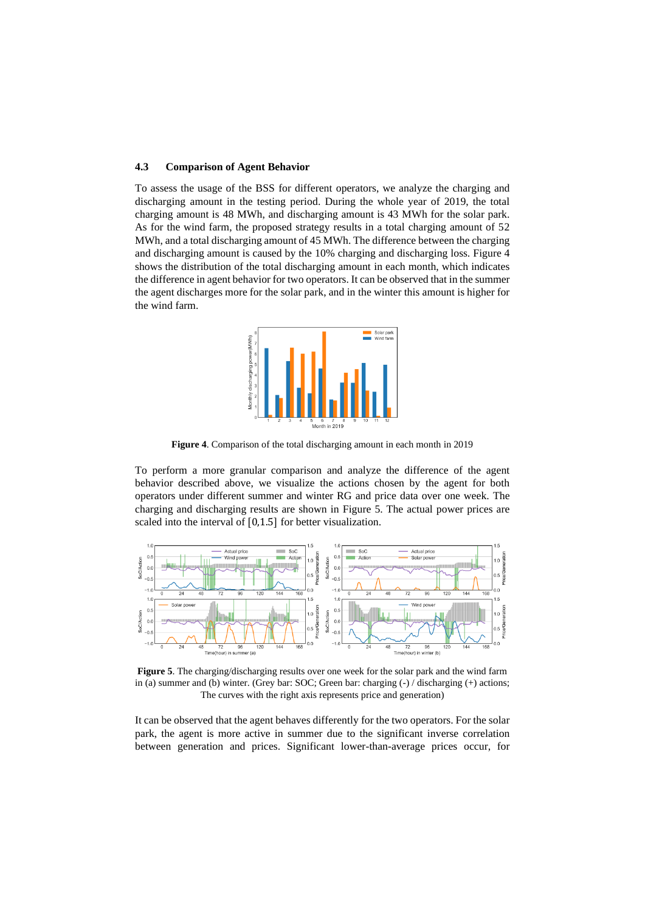#### <span id="page-10-1"></span>**4.3 Comparison of Agent Behavior**

To assess the usage of the BSS for different operators, we analyze the charging and discharging amount in the testing period. During the whole year of 2019, the total charging amount is 48 MWh, and discharging amount is 43 MWh for the solar park. As for the wind farm, the proposed strategy results in a total charging amount of 52 MWh, and a total discharging amount of 45 MWh. The difference between the charging and discharging amount is caused by the 10% charging and discharging loss. Figure 4 shows the distribution of the total discharging amount in each month, which indicates the difference in agent behavior for two operators. It can be observed that in the summer the agent discharges more for the solar park, and in the winter this amount is higher for the wind farm.



**Figure 4**. Comparison of the total discharging amount in each month in 2019

To perform a more granular comparison and analyze the difference of the agent behavior described above, we visualize the actions chosen by the agent for both operators under different summer and winter RG and price data over one week. The charging and discharging results are shown in [Figure 5.](#page-10-0) The actual power prices are scaled into the interval of [0,1.5] for better visualization.



<span id="page-10-0"></span>**Figure 5**. The charging/discharging results over one week for the solar park and the wind farm in (a) summer and (b) winter. (Grey bar: SOC; Green bar: charging (-) / discharging (+) actions; The curves with the right axis represents price and generation)

It can be observed that the agent behaves differently for the two operators. For the solar park, the agent is more active in summer due to the significant inverse correlation between generation and prices. Significant lower-than-average prices occur, for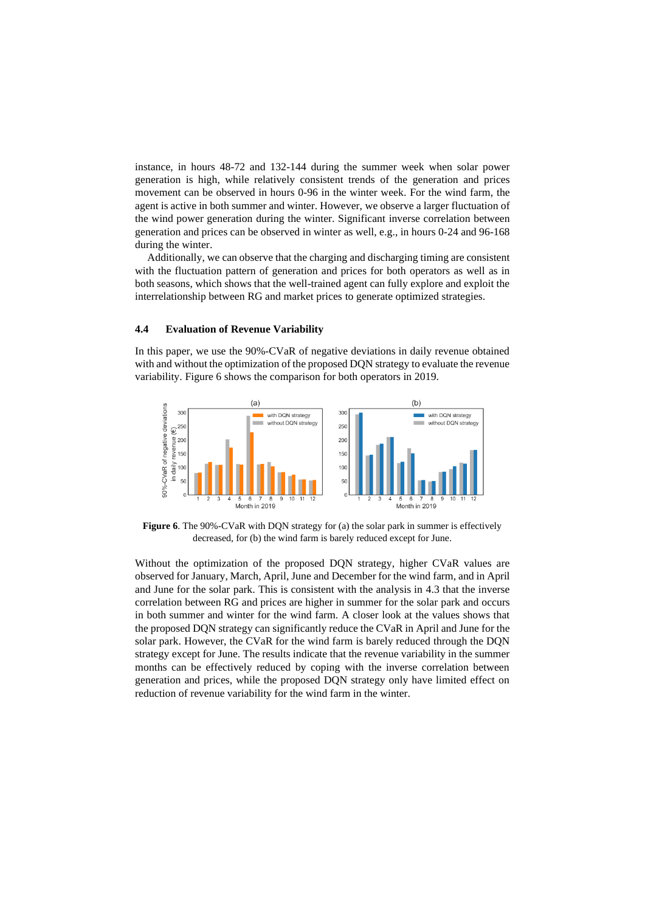instance, in hours 48-72 and 132-144 during the summer week when solar power generation is high, while relatively consistent trends of the generation and prices movement can be observed in hours 0-96 in the winter week. For the wind farm, the agent is active in both summer and winter. However, we observe a larger fluctuation of the wind power generation during the winter. Significant inverse correlation between generation and prices can be observed in winter as well, e.g., in hours 0-24 and 96-168 during the winter.

Additionally, we can observe that the charging and discharging timing are consistent with the fluctuation pattern of generation and prices for both operators as well as in both seasons, which shows that the well-trained agent can fully explore and exploit the interrelationship between RG and market prices to generate optimized strategies.

#### <span id="page-11-0"></span>**4.4 Evaluation of Revenue Variability**

In this paper, we use the 90%-CVaR of negative deviations in daily revenue obtained with and without the optimization of the proposed DQN strategy to evaluate the revenue variability. Figure 6 shows the comparison for both operators in 2019.



**Figure 6**. The 90%-CVaR with DQN strategy for (a) the solar park in summer is effectively decreased, for (b) the wind farm is barely reduced except for June.

Without the optimization of the proposed DQN strategy, higher CVaR values are observed for January, March, April, June and December for the wind farm, and in April and June for the solar park. This is consistent with the analysis in [4.3](#page-10-1) that the inverse correlation between RG and prices are higher in summer for the solar park and occurs in both summer and winter for the wind farm. A closer look at the values shows that the proposed DQN strategy can significantly reduce the CVaR in April and June for the solar park. However, the CVaR for the wind farm is barely reduced through the DQN strategy except for June. The results indicate that the revenue variability in the summer months can be effectively reduced by coping with the inverse correlation between generation and prices, while the proposed DQN strategy only have limited effect on reduction of revenue variability for the wind farm in the winter.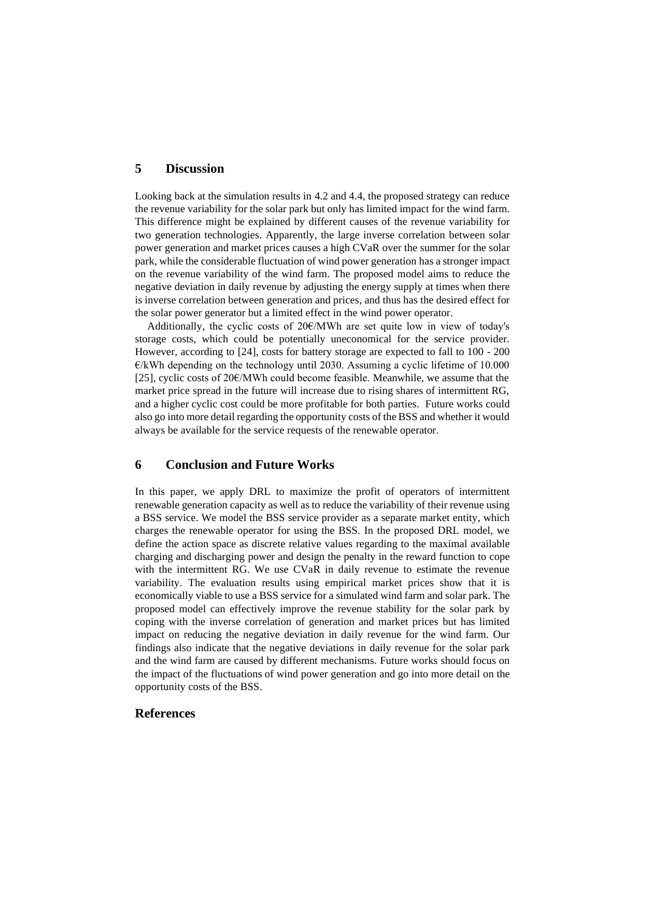# **5 Discussion**

Looking back at the simulation results in [4.2](#page-8-0) and [4.4,](#page-11-0) the proposed strategy can reduce the revenue variability for the solar park but only has limited impact for the wind farm. This difference might be explained by different causes of the revenue variability for two generation technologies. Apparently, the large inverse correlation between solar power generation and market prices causes a high CVaR over the summer for the solar park, while the considerable fluctuation of wind power generation has a stronger impact on the revenue variability of the wind farm. The proposed model aims to reduce the negative deviation in daily revenue by adjusting the energy supply at times when there is inverse correlation between generation and prices, and thus has the desired effect for the solar power generator but a limited effect in the wind power operator.

Additionally, the cyclic costs of 20€/MWh are set quite low in view of today's storage costs, which could be potentially uneconomical for the service provider. However, according to [24], costs for battery storage are expected to fall to 100 - 200  $E/kWh$  depending on the technology until 2030. Assuming a cyclic lifetime of 10.000 [25], cyclic costs of 20€/MWh could become feasible. Meanwhile, we assume that the market price spread in the future will increase due to rising shares of intermittent RG, and a higher cyclic cost could be more profitable for both parties. Future works could also go into more detail regarding the opportunity costs of the BSS and whether it would always be available for the service requests of the renewable operator.

# **6 Conclusion and Future Works**

In this paper, we apply DRL to maximize the profit of operators of intermittent renewable generation capacity as well as to reduce the variability of their revenue using a BSS service. We model the BSS service provider as a separate market entity, which charges the renewable operator for using the BSS. In the proposed DRL model, we define the action space as discrete relative values regarding to the maximal available charging and discharging power and design the penalty in the reward function to cope with the intermittent RG. We use CVaR in daily revenue to estimate the revenue variability. The evaluation results using empirical market prices show that it is economically viable to use a BSS service for a simulated wind farm and solar park. The proposed model can effectively improve the revenue stability for the solar park by coping with the inverse correlation of generation and market prices but has limited impact on reducing the negative deviation in daily revenue for the wind farm. Our findings also indicate that the negative deviations in daily revenue for the solar park and the wind farm are caused by different mechanisms. Future works should focus on the impact of the fluctuations of wind power generation and go into more detail on the opportunity costs of the BSS.

#### **References**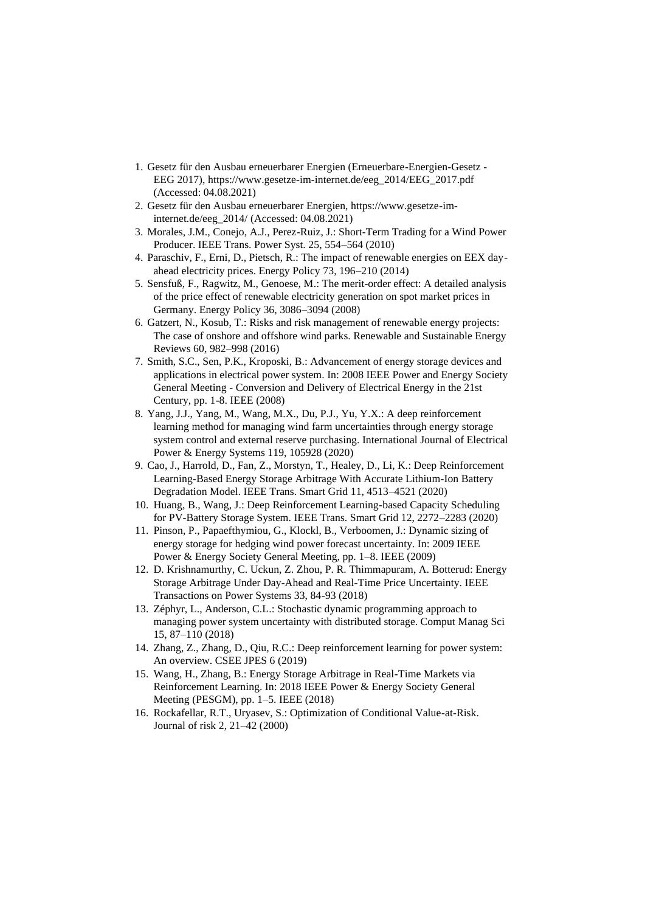- 1. Gesetz für den Ausbau erneuerbarer Energien (Erneuerbare-Energien-Gesetz EEG 2017), https://www.gesetze-im-internet.de/eeg\_2014/EEG\_2017.pdf (Accessed: 04.08.2021)
- 2. Gesetz für den Ausbau erneuerbarer Energien, https://www.gesetze-iminternet.de/eeg\_2014/ (Accessed: 04.08.2021)
- 3. Morales, J.M., Conejo, A.J., Perez-Ruiz, J.: Short-Term Trading for a Wind Power Producer. IEEE Trans. Power Syst. 25, 554–564 (2010)
- 4. Paraschiv, F., Erni, D., Pietsch, R.: The impact of renewable energies on EEX dayahead electricity prices. Energy Policy 73, 196–210 (2014)
- 5. Sensfuß, F., Ragwitz, M., Genoese, M.: The merit-order effect: A detailed analysis of the price effect of renewable electricity generation on spot market prices in Germany. Energy Policy 36, 3086–3094 (2008)
- 6. Gatzert, N., Kosub, T.: Risks and risk management of renewable energy projects: The case of onshore and offshore wind parks. Renewable and Sustainable Energy Reviews 60, 982–998 (2016)
- 7. Smith, S.C., Sen, P.K., Kroposki, B.: Advancement of energy storage devices and applications in electrical power system. In: 2008 IEEE Power and Energy Society General Meeting - Conversion and Delivery of Electrical Energy in the 21st Century, pp. 1-8. IEEE (2008)
- 8. Yang, J.J., Yang, M., Wang, M.X., Du, P.J., Yu, Y.X.: A deep reinforcement learning method for managing wind farm uncertainties through energy storage system control and external reserve purchasing. International Journal of Electrical Power & Energy Systems 119, 105928 (2020)
- 9. Cao, J., Harrold, D., Fan, Z., Morstyn, T., Healey, D., Li, K.: Deep Reinforcement Learning-Based Energy Storage Arbitrage With Accurate Lithium-Ion Battery Degradation Model. IEEE Trans. Smart Grid 11, 4513–4521 (2020)
- 10. Huang, B., Wang, J.: Deep Reinforcement Learning-based Capacity Scheduling for PV-Battery Storage System. IEEE Trans. Smart Grid 12, 2272–2283 (2020)
- 11. Pinson, P., Papaefthymiou, G., Klockl, B., Verboomen, J.: Dynamic sizing of energy storage for hedging wind power forecast uncertainty. In: 2009 IEEE Power & Energy Society General Meeting, pp. 1–8. IEEE (2009)
- 12. D. Krishnamurthy, C. Uckun, Z. Zhou, P. R. Thimmapuram, A. Botterud: Energy Storage Arbitrage Under Day-Ahead and Real-Time Price Uncertainty. IEEE Transactions on Power Systems 33, 84-93 (2018)
- 13. Zéphyr, L., Anderson, C.L.: Stochastic dynamic programming approach to managing power system uncertainty with distributed storage. Comput Manag Sci 15, 87–110 (2018)
- 14. Zhang, Z., Zhang, D., Qiu, R.C.: Deep reinforcement learning for power system: An overview. CSEE JPES 6 (2019)
- 15. Wang, H., Zhang, B.: Energy Storage Arbitrage in Real-Time Markets via Reinforcement Learning. In: 2018 IEEE Power & Energy Society General Meeting (PESGM), pp. 1–5. IEEE (2018)
- 16. Rockafellar, R.T., Uryasev, S.: Optimization of Conditional Value-at-Risk. Journal of risk 2, 21–42 (2000)